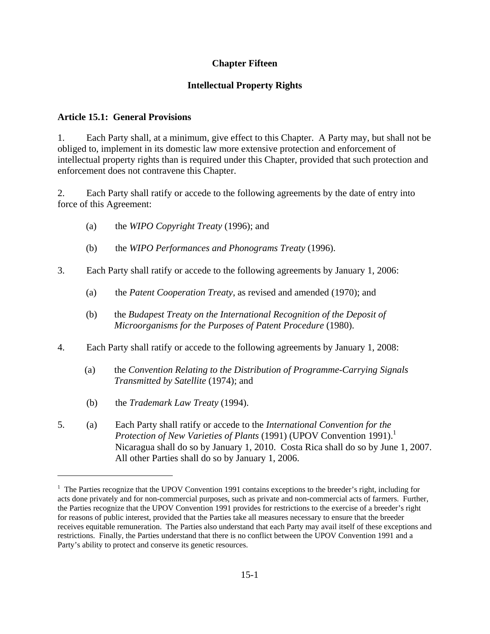### **Chapter Fifteen**

## **Intellectual Property Rights**

### **Article 15.1: General Provisions**

1. Each Party shall, at a minimum, give effect to this Chapter. A Party may, but shall not be obliged to, implement in its domestic law more extensive protection and enforcement of intellectual property rights than is required under this Chapter, provided that such protection and enforcement does not contravene this Chapter.

2. Each Party shall ratify or accede to the following agreements by the date of entry into force of this Agreement:

- (a) the *WIPO Copyright Treaty* (1996); and
- (b) the *WIPO Performances and Phonograms Treaty* (1996).
- 3. Each Party shall ratify or accede to the following agreements by January 1, 2006:
	- (a) the *Patent Cooperation Treaty*, as revised and amended (1970); and
	- (b) the *Budapest Treaty on the International Recognition of the Deposit of Microorganisms for the Purposes of Patent Procedure* (1980).
- 4. Each Party shall ratify or accede to the following agreements by January 1, 2008:
	- (a) the *Convention Relating to the Distribution of Programme-Carrying Signals Transmitted by Satellite* (1974); and
	- (b) the *Trademark Law Treaty* (1994).

1

5. (a) Each Party shall ratify or accede to the *International Convention for the Protection of New Varieties of Plants* (1991) (UPOV Convention 1991).<sup>1</sup> Nicaragua shall do so by January 1, 2010. Costa Rica shall do so by June 1, 2007. All other Parties shall do so by January 1, 2006.

<span id="page-0-0"></span><sup>&</sup>lt;sup>1</sup> The Parties recognize that the UPOV Convention 1991 contains exceptions to the breeder's right, including for acts done privately and for non-commercial purposes, such as private and non-commercial acts of farmers. Further, the Parties recognize that the UPOV Convention 1991 provides for restrictions to the exercise of a breeder's right for reasons of public interest, provided that the Parties take all measures necessary to ensure that the breeder receives equitable remuneration. The Parties also understand that each Party may avail itself of these exceptions and restrictions. Finally, the Parties understand that there is no conflict between the UPOV Convention 1991 and a Party's ability to protect and conserve its genetic resources.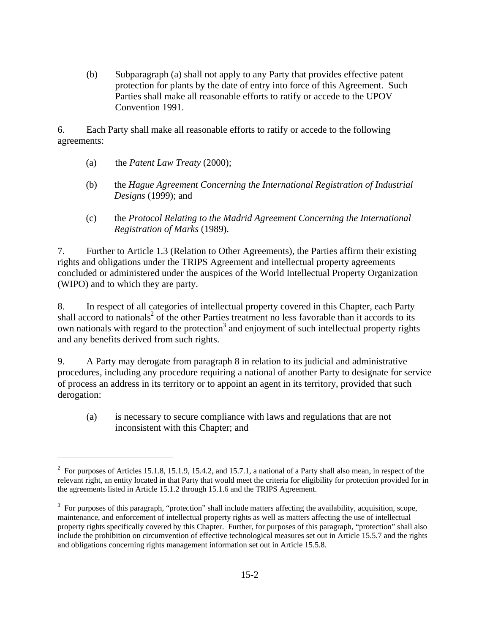(b) Subparagraph (a) shall not apply to any Party that provides effective patent protection for plants by the date of entry into force of this Agreement. Such Parties shall make all reasonable efforts to ratify or accede to the UPOV Convention 1991.

6. Each Party shall make all reasonable efforts to ratify or accede to the following agreements:

(a) the *Patent Law Treaty* (2000);

<u>.</u>

- (b) the *Hague Agreement Concerning the International Registration of Industrial Designs* (1999); and
- (c) the *Protocol Relating to the Madrid Agreement Concerning the International Registration of Marks* (1989).

7. Further to Article 1.3 (Relation to Other Agreements), the Parties affirm their existing rights and obligations under the TRIPS Agreement and intellectual property agreements concluded or administered under the auspices of the World Intellectual Property Organization (WIPO) and to which they are party.

8. In respect of all categories of intellectual property covered in this Chapter, each Party shall accord to nationals<sup>2</sup> of the other Parties treatment no less favorable than it accords to its own nationals with regard to the protection<sup>[3](#page-1-1)</sup> and enjoyment of such intellectual property rights and any benefits derived from such rights.

9. A Party may derogate from paragraph 8 in relation to its judicial and administrative procedures, including any procedure requiring a national of another Party to designate for service of process an address in its territory or to appoint an agent in its territory, provided that such derogation:

(a) is necessary to secure compliance with laws and regulations that are not inconsistent with this Chapter; and

<span id="page-1-0"></span><sup>&</sup>lt;sup>2</sup> For purposes of Articles 15.1.8, 15.1.9, 15.4.2, and 15.7.1, a national of a Party shall also mean, in respect of the relevant right, an entity located in that Party that would meet the criteria for eligibility for protection provided for in the agreements listed in Article 15.1.2 through 15.1.6 and the TRIPS Agreement.

<span id="page-1-1"></span> $3\,$  For purposes of this paragraph, "protection" shall include matters affecting the availability, acquisition, scope, maintenance, and enforcement of intellectual property rights as well as matters affecting the use of intellectual property rights specifically covered by this Chapter. Further, for purposes of this paragraph, "protection" shall also include the prohibition on circumvention of effective technological measures set out in Article 15.5.7 and the rights and obligations concerning rights management information set out in Article 15.5.8.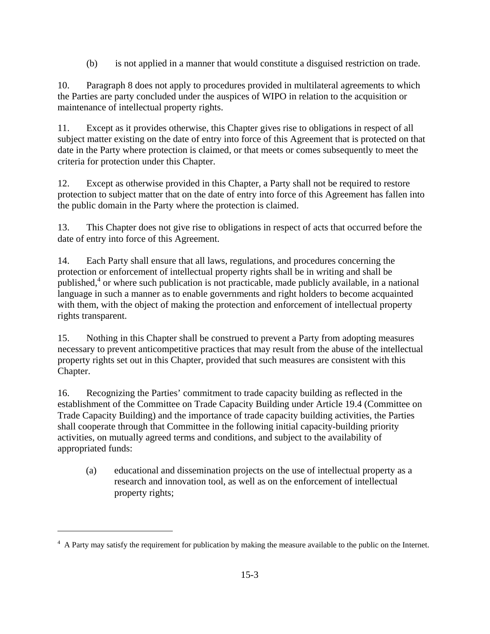(b) is not applied in a manner that would constitute a disguised restriction on trade.

10. Paragraph 8 does not apply to procedures provided in multilateral agreements to which the Parties are party concluded under the auspices of WIPO in relation to the acquisition or maintenance of intellectual property rights.

11. Except as it provides otherwise, this Chapter gives rise to obligations in respect of all subject matter existing on the date of entry into force of this Agreement that is protected on that date in the Party where protection is claimed, or that meets or comes subsequently to meet the criteria for protection under this Chapter.

12. Except as otherwise provided in this Chapter, a Party shall not be required to restore protection to subject matter that on the date of entry into force of this Agreement has fallen into the public domain in the Party where the protection is claimed.

13. This Chapter does not give rise to obligations in respect of acts that occurred before the date of entry into force of this Agreement.

14. Each Party shall ensure that all laws, regulations, and procedures concerning the protection or enforcement of intellectual property rights shall be in writing and shall be published,<sup>[4](#page-2-0)</sup> or where such publication is not practicable, made publicly available, in a national language in such a manner as to enable governments and right holders to become acquainted with them, with the object of making the protection and enforcement of intellectual property rights transparent.

15. Nothing in this Chapter shall be construed to prevent a Party from adopting measures necessary to prevent anticompetitive practices that may result from the abuse of the intellectual property rights set out in this Chapter, provided that such measures are consistent with this Chapter.

16. Recognizing the Parties' commitment to trade capacity building as reflected in the establishment of the Committee on Trade Capacity Building under Article 19.4 (Committee on Trade Capacity Building) and the importance of trade capacity building activities, the Parties shall cooperate through that Committee in the following initial capacity-building priority activities, on mutually agreed terms and conditions, and subject to the availability of appropriated funds:

(a) educational and dissemination projects on the use of intellectual property as a research and innovation tool, as well as on the enforcement of intellectual property rights;

<span id="page-2-0"></span><sup>&</sup>lt;sup>4</sup> A Party may satisfy the requirement for publication by making the measure available to the public on the Internet.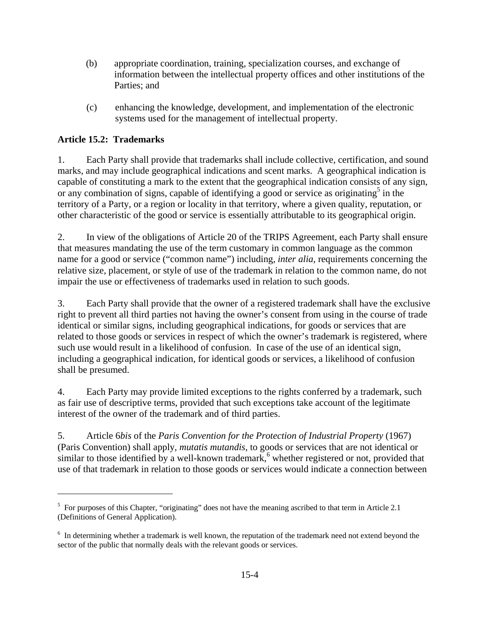- (b) appropriate coordination, training, specialization courses, and exchange of information between the intellectual property offices and other institutions of the Parties; and
- (c) enhancing the knowledge, development, and implementation of the electronic systems used for the management of intellectual property.

## **Article 15.2: Trademarks**

 $\overline{a}$ 

1. Each Party shall provide that trademarks shall include collective, certification, and sound marks, and may include geographical indications and scent marks. A geographical indication is capable of constituting a mark to the extent that the geographical indication consists of any sign, or any combination of signs, capable of identifying a good or service as originating<sup>[5](#page-3-0)</sup> in the territory of a Party, or a region or locality in that territory, where a given quality, reputation, or other characteristic of the good or service is essentially attributable to its geographical origin.

2. In view of the obligations of Article 20 of the TRIPS Agreement, each Party shall ensure that measures mandating the use of the term customary in common language as the common name for a good or service ("common name") including, *inter alia*, requirements concerning the relative size, placement, or style of use of the trademark in relation to the common name, do not impair the use or effectiveness of trademarks used in relation to such goods.

3. Each Party shall provide that the owner of a registered trademark shall have the exclusive right to prevent all third parties not having the owner's consent from using in the course of trade identical or similar signs, including geographical indications, for goods or services that are related to those goods or services in respect of which the owner's trademark is registered, where such use would result in a likelihood of confusion. In case of the use of an identical sign, including a geographical indication, for identical goods or services, a likelihood of confusion shall be presumed.

4. Each Party may provide limited exceptions to the rights conferred by a trademark, such as fair use of descriptive terms, provided that such exceptions take account of the legitimate interest of the owner of the trademark and of third parties.

5. Article 6*bis* of the *Paris Convention for the Protection of Industrial Property* (1967) (Paris Convention) shall apply, *mutatis mutandis*, to goods or services that are not identical or similarto those identified by a well-known trademark,<sup>6</sup> whether registered or not, provided that use of that trademark in relation to those goods or services would indicate a connection between

<span id="page-3-0"></span><sup>&</sup>lt;sup>5</sup> For purposes of this Chapter, "originating" does not have the meaning ascribed to that term in Article 2.1 (Definitions of General Application).

<span id="page-3-1"></span> $6\,$  In determining whether a trademark is well known, the reputation of the trademark need not extend beyond the sector of the public that normally deals with the relevant goods or services.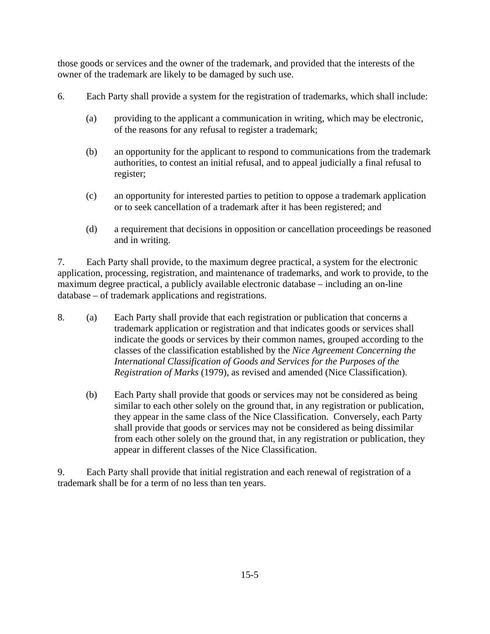those goods or services and the owner of the trademark, and provided that the interests of the owner of the trademark are likely to be damaged by such use.

- 6. Each Party shall provide a system for the registration of trademarks, which shall include:
	- (a) providing to the applicant a communication in writing, which may be electronic, of the reasons for any refusal to register a trademark;
	- (b) an opportunity for the applicant to respond to communications from the trademark authorities, to contest an initial refusal, and to appeal judicially a final refusal to register;
	- (c) an opportunity for interested parties to petition to oppose a trademark application or to seek cancellation of a trademark after it has been registered; and
	- (d) a requirement that decisions in opposition or cancellation proceedings be reasoned and in writing.

7. Each Party shall provide, to the maximum degree practical, a system for the electronic application, processing, registration, and maintenance of trademarks, and work to provide, to the maximum degree practical, a publicly available electronic database – including an on-line database – of trademark applications and registrations.

- 8. (a) Each Party shall provide that each registration or publication that concerns a trademark application or registration and that indicates goods or services shall indicate the goods or services by their common names, grouped according to the classes of the classification established by the *Nice Agreement Concerning the International Classification of Goods and Services for the Purposes of the Registration of Marks* (1979), as revised and amended (Nice Classification).
	- (b) Each Party shall provide that goods or services may not be considered as being similar to each other solely on the ground that, in any registration or publication, they appear in the same class of the Nice Classification. Conversely, each Party shall provide that goods or services may not be considered as being dissimilar from each other solely on the ground that, in any registration or publication, they appear in different classes of the Nice Classification.

9. Each Party shall provide that initial registration and each renewal of registration of a trademark shall be for a term of no less than ten years.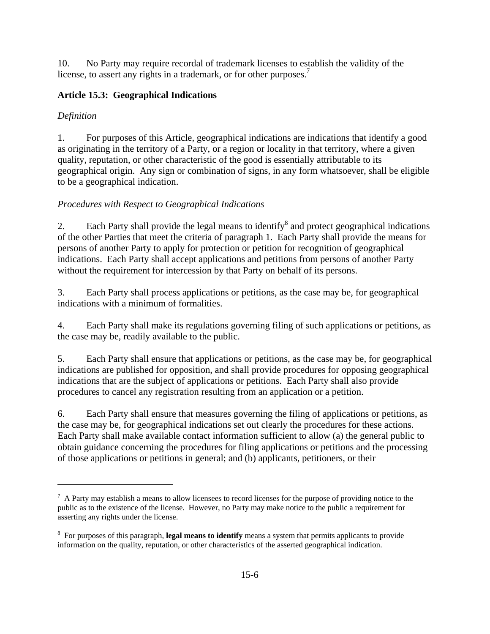10. No Party may require recordal of trademark licenses to establish the validity of the license, to assert any rights in a trademark, or for other purposes.<sup>7</sup>

## **Article 15.3: Geographical Indications**

### *Definition*

 $\overline{a}$ 

1. For purposes of this Article, geographical indications are indications that identify a good as originating in the territory of a Party, or a region or locality in that territory, where a given quality, reputation, or other characteristic of the good is essentially attributable to its geographical origin. Any sign or combination of signs, in any form whatsoever, shall be eligible to be a geographical indication.

### *Procedures with Respect to Geographical Indications*

2. Each Party shall provide the legal means to identify<sup>[8](#page-5-1)</sup> and protect geographical indications of the other Parties that meet the criteria of paragraph 1. Each Party shall provide the means for persons of another Party to apply for protection or petition for recognition of geographical indications. Each Party shall accept applications and petitions from persons of another Party without the requirement for intercession by that Party on behalf of its persons.

3. Each Party shall process applications or petitions, as the case may be, for geographical indications with a minimum of formalities.

4. Each Party shall make its regulations governing filing of such applications or petitions, as the case may be, readily available to the public.

5. Each Party shall ensure that applications or petitions, as the case may be, for geographical indications are published for opposition, and shall provide procedures for opposing geographical indications that are the subject of applications or petitions. Each Party shall also provide procedures to cancel any registration resulting from an application or a petition.

6. Each Party shall ensure that measures governing the filing of applications or petitions, as the case may be, for geographical indications set out clearly the procedures for these actions. Each Party shall make available contact information sufficient to allow (a) the general public to obtain guidance concerning the procedures for filing applications or petitions and the processing of those applications or petitions in general; and (b) applicants, petitioners, or their

<span id="page-5-0"></span> $<sup>7</sup>$  A Party may establish a means to allow licensees to record licenses for the purpose of providing notice to the</sup> public as to the existence of the license. However, no Party may make notice to the public a requirement for asserting any rights under the license.

<span id="page-5-1"></span><sup>8</sup> For purposes of this paragraph, **legal means to identify** means a system that permits applicants to provide information on the quality, reputation, or other characteristics of the asserted geographical indication.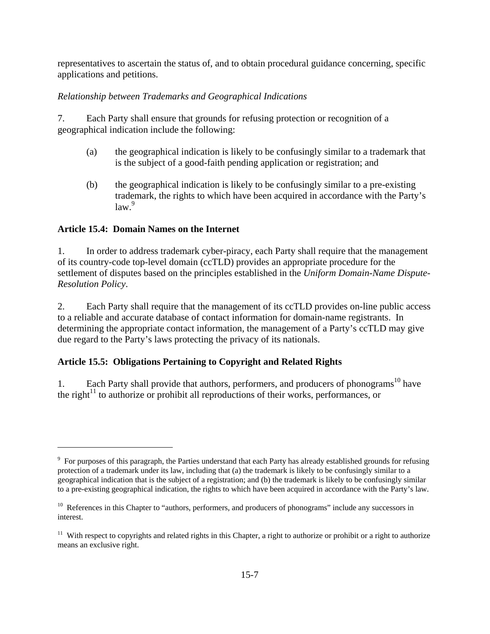representatives to ascertain the status of, and to obtain procedural guidance concerning, specific applications and petitions.

### *Relationship between Trademarks and Geographical Indications*

7. Each Party shall ensure that grounds for refusing protection or recognition of a geographical indication include the following:

- (a) the geographical indication is likely to be confusingly similar to a trademark that is the subject of a good-faith pending application or registration; and
- (b) the geographical indication is likely to be confusingly similar to a pre-existing trademark, the rights to which have been acquired in accordance with the Party's  $law<sup>9</sup>$  $law<sup>9</sup>$  $law<sup>9</sup>$

### **Article 15.4: Domain Names on the Internet**

 $\overline{a}$ 

1. In order to address trademark cyber-piracy, each Party shall require that the management of its country-code top-level domain (ccTLD) provides an appropriate procedure for the settlement of disputes based on the principles established in the *Uniform Domain-Name Dispute-Resolution Policy*.

2. Each Party shall require that the management of its ccTLD provides on-line public access to a reliable and accurate database of contact information for domain-name registrants. In determining the appropriate contact information, the management of a Party's ccTLD may give due regard to the Party's laws protecting the privacy of its nationals.

## **Article 15.5: Obligations Pertaining to Copyright and Related Rights**

1. Each Party shall provide that authors, performers, and producers of phonograms<sup>10</sup> have the right $11$  to authorize or prohibit all reproductions of their works, performances, or

<span id="page-6-0"></span> $9\,$  For purposes of this paragraph, the Parties understand that each Party has already established grounds for refusing protection of a trademark under its law, including that (a) the trademark is likely to be confusingly similar to a geographical indication that is the subject of a registration; and (b) the trademark is likely to be confusingly similar to a pre-existing geographical indication, the rights to which have been acquired in accordance with the Party's law.

<span id="page-6-1"></span><sup>&</sup>lt;sup>10</sup> References in this Chapter to "authors, performers, and producers of phonograms" include any successors in interest.

<span id="page-6-2"></span><sup>&</sup>lt;sup>11</sup> With respect to copyrights and related rights in this Chapter, a right to authorize or prohibit or a right to authorize means an exclusive right.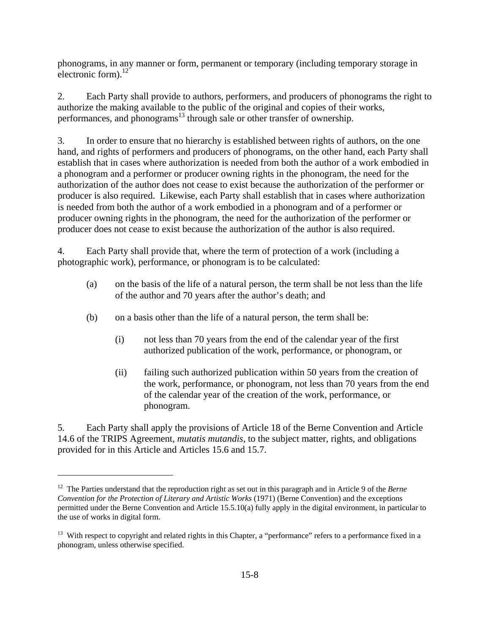phonograms, in any manner or form, permanent or temporary (including temporary storage in electronic form).[12](#page-7-0)

2. Each Party shall provide to authors, performers, and producers of phonograms the right to authorize the making available to the public of the original and copies of their works, performances, and phonograms<sup>13</sup> through sale or other transfer of ownership.

3. In order to ensure that no hierarchy is established between rights of authors, on the one hand, and rights of performers and producers of phonograms, on the other hand, each Party shall establish that in cases where authorization is needed from both the author of a work embodied in a phonogram and a performer or producer owning rights in the phonogram, the need for the authorization of the author does not cease to exist because the authorization of the performer or producer is also required. Likewise, each Party shall establish that in cases where authorization is needed from both the author of a work embodied in a phonogram and of a performer or producer owning rights in the phonogram, the need for the authorization of the performer or producer does not cease to exist because the authorization of the author is also required.

4. Each Party shall provide that, where the term of protection of a work (including a photographic work), performance, or phonogram is to be calculated:

- (a) on the basis of the life of a natural person, the term shall be not less than the life of the author and 70 years after the author's death; and
- (b) on a basis other than the life of a natural person, the term shall be:
	- (i) not less than 70 years from the end of the calendar year of the first authorized publication of the work, performance, or phonogram, or
	- (ii) failing such authorized publication within 50 years from the creation of the work, performance, or phonogram, not less than 70 years from the end of the calendar year of the creation of the work, performance, or phonogram.

5. Each Party shall apply the provisions of Article 18 of the Berne Convention and Article 14.6 of the TRIPS Agreement, *mutatis mutandis*, to the subject matter, rights, and obligations provided for in this Article and Articles 15.6 and 15.7.

1

<span id="page-7-0"></span><sup>12</sup> The Parties understand that the reproduction right as set out in this paragraph and in Article 9 of the *Berne Convention for the Protection of Literary and Artistic Works* (1971) (Berne Convention) and the exceptions permitted under the Berne Convention and Article 15.5.10(a) fully apply in the digital environment, in particular to the use of works in digital form.

<span id="page-7-1"></span><sup>&</sup>lt;sup>13</sup> With respect to copyright and related rights in this Chapter, a "performance" refers to a performance fixed in a phonogram, unless otherwise specified.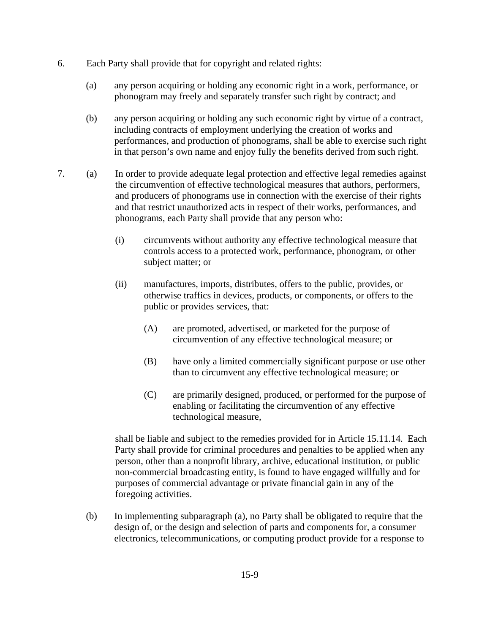- 6. Each Party shall provide that for copyright and related rights:
	- (a) any person acquiring or holding any economic right in a work, performance, or phonogram may freely and separately transfer such right by contract; and
	- (b) any person acquiring or holding any such economic right by virtue of a contract, including contracts of employment underlying the creation of works and performances, and production of phonograms, shall be able to exercise such right in that person's own name and enjoy fully the benefits derived from such right.
- 7. (a) In order to provide adequate legal protection and effective legal remedies against the circumvention of effective technological measures that authors, performers, and producers of phonograms use in connection with the exercise of their rights and that restrict unauthorized acts in respect of their works, performances, and phonograms, each Party shall provide that any person who:
	- (i) circumvents without authority any effective technological measure that controls access to a protected work, performance, phonogram, or other subject matter; or
	- (ii) manufactures, imports, distributes, offers to the public, provides, or otherwise traffics in devices, products, or components, or offers to the public or provides services, that:
		- (A) are promoted, advertised, or marketed for the purpose of circumvention of any effective technological measure; or
		- (B) have only a limited commercially significant purpose or use other than to circumvent any effective technological measure; or
		- (C) are primarily designed, produced, or performed for the purpose of enabling or facilitating the circumvention of any effective technological measure,

shall be liable and subject to the remedies provided for in Article 15.11.14. Each Party shall provide for criminal procedures and penalties to be applied when any person, other than a nonprofit library, archive, educational institution, or public non-commercial broadcasting entity, is found to have engaged willfully and for purposes of commercial advantage or private financial gain in any of the foregoing activities.

(b) In implementing subparagraph (a), no Party shall be obligated to require that the design of, or the design and selection of parts and components for, a consumer electronics, telecommunications, or computing product provide for a response to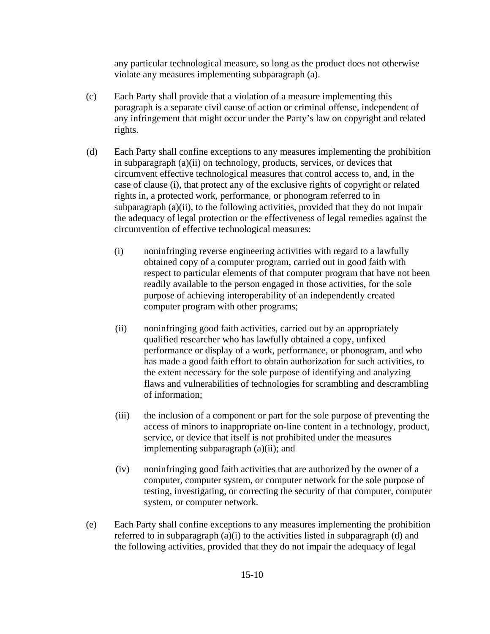any particular technological measure, so long as the product does not otherwise violate any measures implementing subparagraph (a).

- (c) Each Party shall provide that a violation of a measure implementing this paragraph is a separate civil cause of action or criminal offense, independent of any infringement that might occur under the Party's law on copyright and related rights.
- (d) Each Party shall confine exceptions to any measures implementing the prohibition in subparagraph (a)(ii) on technology, products, services, or devices that circumvent effective technological measures that control access to, and, in the case of clause (i), that protect any of the exclusive rights of copyright or related rights in, a protected work, performance, or phonogram referred to in subparagraph (a)(ii), to the following activities, provided that they do not impair the adequacy of legal protection or the effectiveness of legal remedies against the circumvention of effective technological measures:
	- (i) noninfringing reverse engineering activities with regard to a lawfully obtained copy of a computer program, carried out in good faith with respect to particular elements of that computer program that have not been readily available to the person engaged in those activities, for the sole purpose of achieving interoperability of an independently created computer program with other programs;
	- (ii) noninfringing good faith activities, carried out by an appropriately qualified researcher who has lawfully obtained a copy, unfixed performance or display of a work, performance, or phonogram, and who has made a good faith effort to obtain authorization for such activities, to the extent necessary for the sole purpose of identifying and analyzing flaws and vulnerabilities of technologies for scrambling and descrambling of information;
	- (iii) the inclusion of a component or part for the sole purpose of preventing the access of minors to inappropriate on-line content in a technology, product, service, or device that itself is not prohibited under the measures implementing subparagraph (a)(ii); and
	- (iv) noninfringing good faith activities that are authorized by the owner of a computer, computer system, or computer network for the sole purpose of testing, investigating, or correcting the security of that computer, computer system, or computer network.
- (e) Each Party shall confine exceptions to any measures implementing the prohibition referred to in subparagraph  $(a)(i)$  to the activities listed in subparagraph  $(d)$  and the following activities, provided that they do not impair the adequacy of legal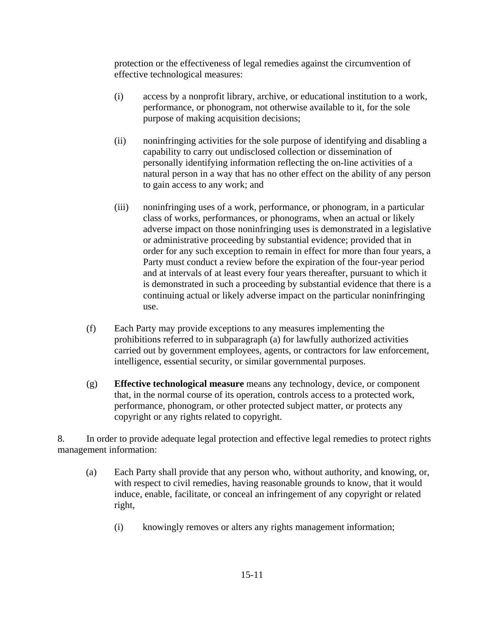protection or the effectiveness of legal remedies against the circumvention of effective technological measures:

- (i) access by a nonprofit library, archive, or educational institution to a work, performance, or phonogram, not otherwise available to it, for the sole purpose of making acquisition decisions;
- (ii) noninfringing activities for the sole purpose of identifying and disabling a capability to carry out undisclosed collection or dissemination of personally identifying information reflecting the on-line activities of a natural person in a way that has no other effect on the ability of any person to gain access to any work; and
- (iii) noninfringing uses of a work, performance, or phonogram, in a particular class of works, performances, or phonograms, when an actual or likely adverse impact on those noninfringing uses is demonstrated in a legislative or administrative proceeding by substantial evidence; provided that in order for any such exception to remain in effect for more than four years, a Party must conduct a review before the expiration of the four-year period and at intervals of at least every four years thereafter, pursuant to which it is demonstrated in such a proceeding by substantial evidence that there is a continuing actual or likely adverse impact on the particular noninfringing use.
- (f) Each Party may provide exceptions to any measures implementing the prohibitions referred to in subparagraph (a) for lawfully authorized activities carried out by government employees, agents, or contractors for law enforcement, intelligence, essential security, or similar governmental purposes.
- (g) **Effective technological measure** means any technology, device, or component that, in the normal course of its operation, controls access to a protected work, performance, phonogram, or other protected subject matter, or protects any copyright or any rights related to copyright.

8. In order to provide adequate legal protection and effective legal remedies to protect rights management information:

- (a) Each Party shall provide that any person who, without authority, and knowing, or, with respect to civil remedies, having reasonable grounds to know, that it would induce, enable, facilitate, or conceal an infringement of any copyright or related right,
	- (i) knowingly removes or alters any rights management information;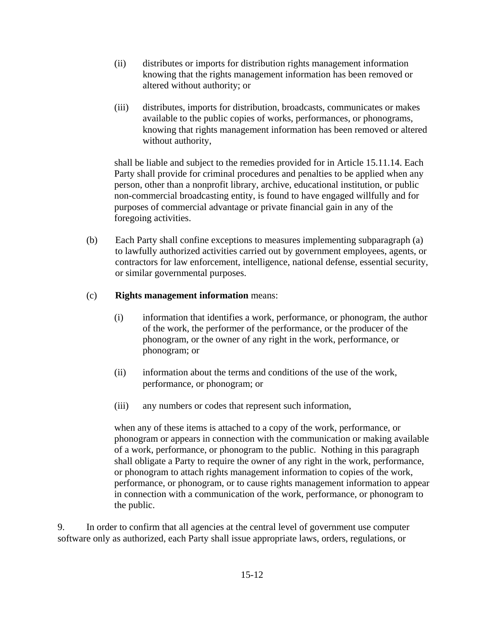- (ii) distributes or imports for distribution rights management information knowing that the rights management information has been removed or altered without authority; or
- (iii) distributes, imports for distribution, broadcasts, communicates or makes available to the public copies of works, performances, or phonograms, knowing that rights management information has been removed or altered without authority,

shall be liable and subject to the remedies provided for in Article 15.11.14. Each Party shall provide for criminal procedures and penalties to be applied when any person, other than a nonprofit library, archive, educational institution, or public non-commercial broadcasting entity, is found to have engaged willfully and for purposes of commercial advantage or private financial gain in any of the foregoing activities.

(b) Each Party shall confine exceptions to measures implementing subparagraph (a) to lawfully authorized activities carried out by government employees, agents, or contractors for law enforcement, intelligence, national defense, essential security, or similar governmental purposes.

### (c) **Rights management information** means:

- (i) information that identifies a work, performance, or phonogram, the author of the work, the performer of the performance, or the producer of the phonogram, or the owner of any right in the work, performance, or phonogram; or
- (ii) information about the terms and conditions of the use of the work, performance, or phonogram; or
- (iii) any numbers or codes that represent such information,

when any of these items is attached to a copy of the work, performance, or phonogram or appears in connection with the communication or making available of a work, performance, or phonogram to the public. Nothing in this paragraph shall obligate a Party to require the owner of any right in the work, performance, or phonogram to attach rights management information to copies of the work, performance, or phonogram, or to cause rights management information to appear in connection with a communication of the work, performance, or phonogram to the public.

9. In order to confirm that all agencies at the central level of government use computer software only as authorized, each Party shall issue appropriate laws, orders, regulations, or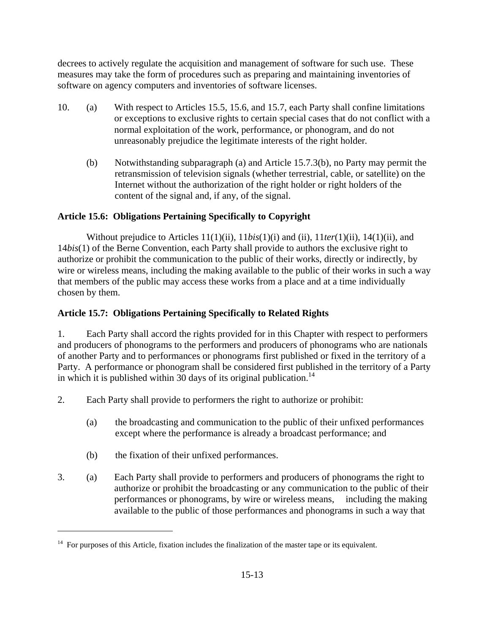decrees to actively regulate the acquisition and management of software for such use. These measures may take the form of procedures such as preparing and maintaining inventories of software on agency computers and inventories of software licenses.

- 10. (a) With respect to Articles 15.5, 15.6, and 15.7, each Party shall confine limitations or exceptions to exclusive rights to certain special cases that do not conflict with a normal exploitation of the work, performance, or phonogram, and do not unreasonably prejudice the legitimate interests of the right holder*.* 
	- (b) Notwithstanding subparagraph (a) and Article 15.7.3(b), no Party may permit the retransmission of television signals (whether terrestrial, cable, or satellite) on the Internet without the authorization of the right holder or right holders of the content of the signal and, if any, of the signal.

### **Article 15.6: Obligations Pertaining Specifically to Copyright**

Without prejudice to Articles 11(1)(ii), 11*bis*(1)(i) and (ii), 11*ter*(1)(ii), 14(1)(ii), and 14*bis*(1) of the Berne Convention, each Party shall provide to authors the exclusive right to authorize or prohibit the communication to the public of their works, directly or indirectly, by wire or wireless means, including the making available to the public of their works in such a way that members of the public may access these works from a place and at a time individually chosen by them.

### **Article 15.7: Obligations Pertaining Specifically to Related Rights**

1. Each Party shall accord the rights provided for in this Chapter with respect to performers and producers of phonograms to the performers and producers of phonograms who are nationals of another Party and to performances or phonograms first published or fixed in the territory of a Party. A performance or phonogram shall be considered first published in the territory of a Party in which it is published within 30 days of its original publication.<sup>[14](#page-12-0)</sup>

- 2. Each Party shall provide to performers the right to authorize or prohibit:
	- (a) the broadcasting and communication to the public of their unfixed performances except where the performance is already a broadcast performance; and
	- (b) the fixation of their unfixed performances.

 $\overline{a}$ 

3. (a) Each Party shall provide to performers and producers of phonograms the right to authorize or prohibit the broadcasting or any communication to the public of their performances or phonograms, by wire or wireless means, including the making available to the public of those performances and phonograms in such a way that

<span id="page-12-0"></span> $14$  For purposes of this Article, fixation includes the finalization of the master tape or its equivalent.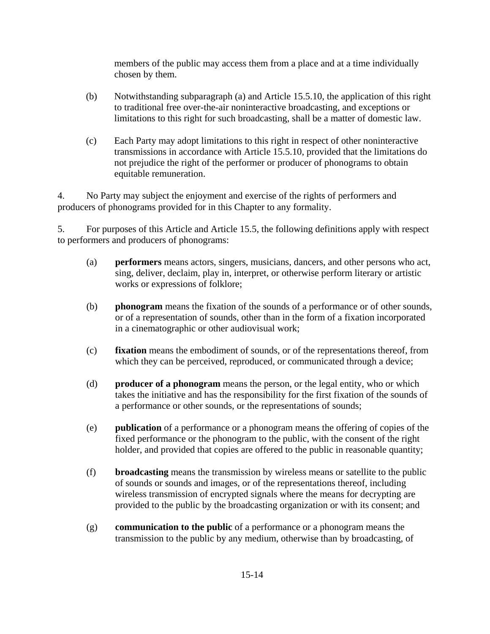members of the public may access them from a place and at a time individually chosen by them.

- (b) Notwithstanding subparagraph (a) and Article 15.5.10, the application of this right to traditional free over-the-air noninteractive broadcasting, and exceptions or limitations to this right for such broadcasting, shall be a matter of domestic law.
- (c) Each Party may adopt limitations to this right in respect of other noninteractive transmissions in accordance with Article 15.5.10, provided that the limitations do not prejudice the right of the performer or producer of phonograms to obtain equitable remuneration.

4. No Party may subject the enjoyment and exercise of the rights of performers and producers of phonograms provided for in this Chapter to any formality.

5. For purposes of this Article and Article 15.5, the following definitions apply with respect to performers and producers of phonograms:

- (a) **performers** means actors, singers, musicians, dancers, and other persons who act, sing, deliver, declaim, play in, interpret, or otherwise perform literary or artistic works or expressions of folklore;
- (b) **phonogram** means the fixation of the sounds of a performance or of other sounds, or of a representation of sounds, other than in the form of a fixation incorporated in a cinematographic or other audiovisual work;
- (c) **fixation** means the embodiment of sounds, or of the representations thereof, from which they can be perceived, reproduced, or communicated through a device;
- (d) **producer of a phonogram** means the person, or the legal entity, who or which takes the initiative and has the responsibility for the first fixation of the sounds of a performance or other sounds, or the representations of sounds;
- (e) **publication** of a performance or a phonogram means the offering of copies of the fixed performance or the phonogram to the public, with the consent of the right holder, and provided that copies are offered to the public in reasonable quantity;
- (f) **broadcasting** means the transmission by wireless means or satellite to the public of sounds or sounds and images, or of the representations thereof, including wireless transmission of encrypted signals where the means for decrypting are provided to the public by the broadcasting organization or with its consent; and
- (g) **communication to the public** of a performance or a phonogram means the transmission to the public by any medium, otherwise than by broadcasting, of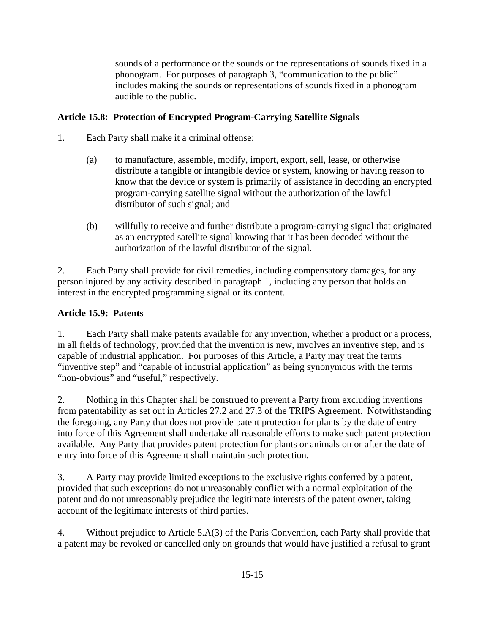sounds of a performance or the sounds or the representations of sounds fixed in a phonogram. For purposes of paragraph 3, "communication to the public" includes making the sounds or representations of sounds fixed in a phonogram audible to the public.

# **Article 15.8: Protection of Encrypted Program-Carrying Satellite Signals**

- 1. Each Party shall make it a criminal offense:
	- (a) to manufacture, assemble, modify, import, export, sell, lease, or otherwise distribute a tangible or intangible device or system, knowing or having reason to know that the device or system is primarily of assistance in decoding an encrypted program-carrying satellite signal without the authorization of the lawful distributor of such signal; and
	- (b) willfully to receive and further distribute a program-carrying signal that originated as an encrypted satellite signal knowing that it has been decoded without the authorization of the lawful distributor of the signal.

2. Each Party shall provide for civil remedies, including compensatory damages, for any person injured by any activity described in paragraph 1, including any person that holds an interest in the encrypted programming signal or its content.

# **Article 15.9: Patents**

1. Each Party shall make patents available for any invention, whether a product or a process, in all fields of technology, provided that the invention is new, involves an inventive step, and is capable of industrial application. For purposes of this Article, a Party may treat the terms "inventive step" and "capable of industrial application" as being synonymous with the terms "non-obvious" and "useful," respectively.

2. Nothing in this Chapter shall be construed to prevent a Party from excluding inventions from patentability as set out in Articles 27.2 and 27.3 of the TRIPS Agreement. Notwithstanding the foregoing, any Party that does not provide patent protection for plants by the date of entry into force of this Agreement shall undertake all reasonable efforts to make such patent protection available. Any Party that provides patent protection for plants or animals on or after the date of entry into force of this Agreement shall maintain such protection.

3. A Party may provide limited exceptions to the exclusive rights conferred by a patent, provided that such exceptions do not unreasonably conflict with a normal exploitation of the patent and do not unreasonably prejudice the legitimate interests of the patent owner, taking account of the legitimate interests of third parties.

4. Without prejudice to Article 5.A(3) of the Paris Convention, each Party shall provide that a patent may be revoked or cancelled only on grounds that would have justified a refusal to grant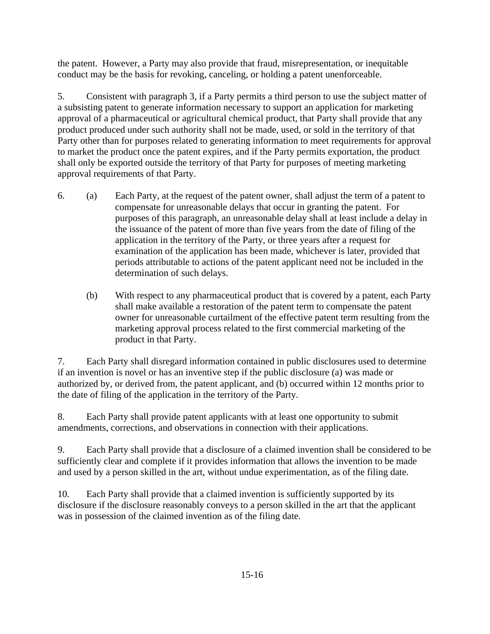the patent. However, a Party may also provide that fraud, misrepresentation, or inequitable conduct may be the basis for revoking, canceling, or holding a patent unenforceable.

5. Consistent with paragraph 3, if a Party permits a third person to use the subject matter of a subsisting patent to generate information necessary to support an application for marketing approval of a pharmaceutical or agricultural chemical product, that Party shall provide that any product produced under such authority shall not be made, used, or sold in the territory of that Party other than for purposes related to generating information to meet requirements for approval to market the product once the patent expires, and if the Party permits exportation, the product shall only be exported outside the territory of that Party for purposes of meeting marketing approval requirements of that Party.

- 6. (a) Each Party, at the request of the patent owner, shall adjust the term of a patent to compensate for unreasonable delays that occur in granting the patent. For purposes of this paragraph, an unreasonable delay shall at least include a delay in the issuance of the patent of more than five years from the date of filing of the application in the territory of the Party, or three years after a request for examination of the application has been made, whichever is later, provided that periods attributable to actions of the patent applicant need not be included in the determination of such delays.
	- (b) With respect to any pharmaceutical product that is covered by a patent, each Party shall make available a restoration of the patent term to compensate the patent owner for unreasonable curtailment of the effective patent term resulting from the marketing approval process related to the first commercial marketing of the product in that Party.

7. Each Party shall disregard information contained in public disclosures used to determine if an invention is novel or has an inventive step if the public disclosure (a) was made or authorized by, or derived from, the patent applicant, and (b) occurred within 12 months prior to the date of filing of the application in the territory of the Party.

8. Each Party shall provide patent applicants with at least one opportunity to submit amendments, corrections, and observations in connection with their applications.

9. Each Party shall provide that a disclosure of a claimed invention shall be considered to be sufficiently clear and complete if it provides information that allows the invention to be made and used by a person skilled in the art, without undue experimentation, as of the filing date.

10. Each Party shall provide that a claimed invention is sufficiently supported by its disclosure if the disclosure reasonably conveys to a person skilled in the art that the applicant was in possession of the claimed invention as of the filing date.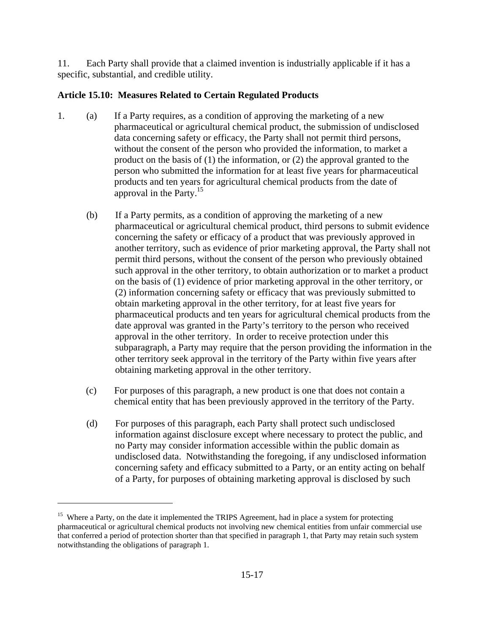11. Each Party shall provide that a claimed invention is industrially applicable if it has a specific, substantial, and credible utility.

## **Article 15.10: Measures Related to Certain Regulated Products**

- 1. (a) If a Party requires, as a condition of approving the marketing of a new pharmaceutical or agricultural chemical product, the submission of undisclosed data concerning safety or efficacy, the Party shall not permit third persons, without the consent of the person who provided the information, to market a product on the basis of (1) the information, or (2) the approval granted to the person who submitted the information for at least five years for pharmaceutical products and ten years for agricultural chemical products from the date of approval in the Party. $^{15}$ 
	- (b) If a Party permits, as a condition of approving the marketing of a new pharmaceutical or agricultural chemical product, third persons to submit evidence concerning the safety or efficacy of a product that was previously approved in another territory, such as evidence of prior marketing approval, the Party shall not permit third persons, without the consent of the person who previously obtained such approval in the other territory, to obtain authorization or to market a product on the basis of (1) evidence of prior marketing approval in the other territory, or (2) information concerning safety or efficacy that was previously submitted to obtain marketing approval in the other territory, for at least five years for pharmaceutical products and ten years for agricultural chemical products from the date approval was granted in the Party's territory to the person who received approval in the other territory. In order to receive protection under this subparagraph, a Party may require that the person providing the information in the other territory seek approval in the territory of the Party within five years after obtaining marketing approval in the other territory.
	- (c) For purposes of this paragraph, a new product is one that does not contain a chemical entity that has been previously approved in the territory of the Party.
	- (d) For purposes of this paragraph, each Party shall protect such undisclosed information against disclosure except where necessary to protect the public, and no Party may consider information accessible within the public domain as undisclosed data. Notwithstanding the foregoing, if any undisclosed information concerning safety and efficacy submitted to a Party, or an entity acting on behalf of a Party, for purposes of obtaining marketing approval is disclosed by such

<span id="page-16-0"></span><sup>&</sup>lt;sup>15</sup> Where a Party, on the date it implemented the TRIPS Agreement, had in place a system for protecting pharmaceutical or agricultural chemical products not involving new chemical entities from unfair commercial use that conferred a period of protection shorter than that specified in paragraph 1, that Party may retain such system notwithstanding the obligations of paragraph 1.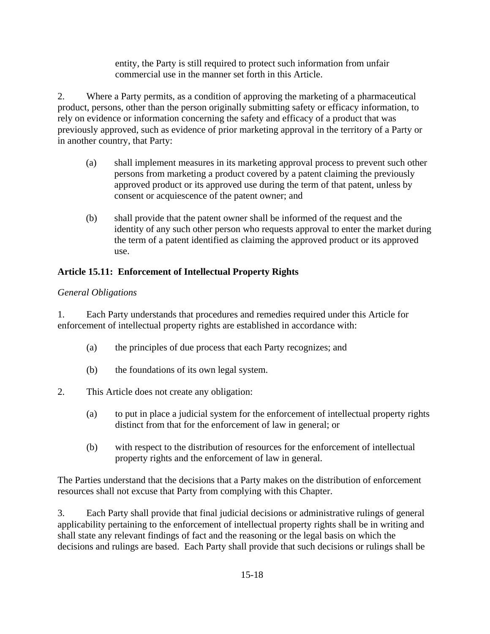entity, the Party is still required to protect such information from unfair commercial use in the manner set forth in this Article.

2. Where a Party permits, as a condition of approving the marketing of a pharmaceutical product, persons, other than the person originally submitting safety or efficacy information, to rely on evidence or information concerning the safety and efficacy of a product that was previously approved, such as evidence of prior marketing approval in the territory of a Party or in another country, that Party:

- (a) shall implement measures in its marketing approval process to prevent such other persons from marketing a product covered by a patent claiming the previously approved product or its approved use during the term of that patent, unless by consent or acquiescence of the patent owner; and
- (b) shall provide that the patent owner shall be informed of the request and the identity of any such other person who requests approval to enter the market during the term of a patent identified as claiming the approved product or its approved use.

# **Article 15.11: Enforcement of Intellectual Property Rights**

# *General Obligations*

1. Each Party understands that procedures and remedies required under this Article for enforcement of intellectual property rights are established in accordance with:

- (a) the principles of due process that each Party recognizes; and
- (b) the foundations of its own legal system.
- 2. This Article does not create any obligation:
	- (a) to put in place a judicial system for the enforcement of intellectual property rights distinct from that for the enforcement of law in general; or
	- (b) with respect to the distribution of resources for the enforcement of intellectual property rights and the enforcement of law in general.

The Parties understand that the decisions that a Party makes on the distribution of enforcement resources shall not excuse that Party from complying with this Chapter.

3. Each Party shall provide that final judicial decisions or administrative rulings of general applicability pertaining to the enforcement of intellectual property rights shall be in writing and shall state any relevant findings of fact and the reasoning or the legal basis on which the decisions and rulings are based.Each Party shall provide that such decisions or rulings shall be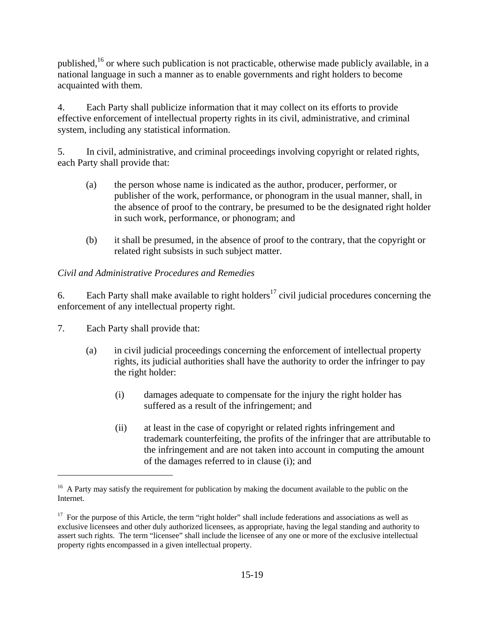published,[16 o](#page-18-0)r where such publication is not practicable, otherwise made publicly available, in a national language in such a manner as to enable governments and right holders to become acquainted with them.

4. Each Party shall publicize information that it may collect on its efforts to provide effective enforcement of intellectual property rights in its civil, administrative, and criminal system, including any statistical information.

5. In civil, administrative, and criminal proceedings involving copyright or related rights, each Party shall provide that:

- (a) the person whose name is indicated as the author, producer, performer, or publisher of the work, performance, or phonogram in the usual manner, shall, in the absence of proof to the contrary, be presumed to be the designated right holder in such work, performance, or phonogram; and
- (b) it shall be presumed, in the absence of proof to the contrary, that the copyright or related right subsists in such subject matter.

# *Civil and Administrative Procedures and Remedies*

6. Each Party shall make available to right holders<sup>17</sup> civil judicial procedures concerning the enforcement of any intellectual property right.

7. Each Party shall provide that:

1

- (a) in civil judicial proceedings concerning the enforcement of intellectual property rights, its judicial authorities shall have the authority to order the infringer to pay the right holder:
	- (i) damages adequate to compensate for the injury the right holder has suffered as a result of the infringement; and
	- (ii) at least in the case of copyright or related rights infringement and trademark counterfeiting, the profits of the infringer that are attributable to the infringement and are not taken into account in computing the amount of the damages referred to in clause (i); and

<span id="page-18-0"></span><sup>&</sup>lt;sup>16</sup> A Party may satisfy the requirement for publication by making the document available to the public on the Internet.

<span id="page-18-1"></span><sup>&</sup>lt;sup>17</sup> For the purpose of this Article, the term "right holder" shall include federations and associations as well as exclusive licensees and other duly authorized licensees, as appropriate, having the legal standing and authority to assert such rights. The term "licensee" shall include the licensee of any one or more of the exclusive intellectual property rights encompassed in a given intellectual property.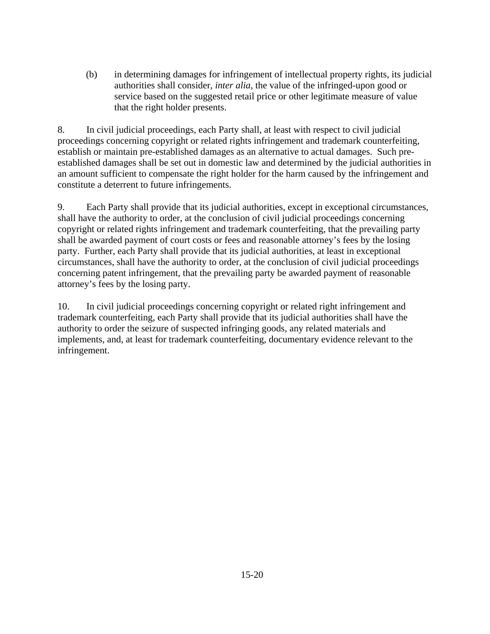(b) in determining damages for infringement of intellectual property rights, its judicial authorities shall consider, *inter alia*, the value of the infringed-upon good or service based on the suggested retail price or other legitimate measure of value that the right holder presents.

8. In civil judicial proceedings, each Party shall, at least with respect to civil judicial proceedings concerning copyright or related rights infringement and trademark counterfeiting, establish or maintain pre-established damages as an alternative to actual damages. Such preestablished damages shall be set out in domestic law and determined by the judicial authorities in an amount sufficient to compensate the right holder for the harm caused by the infringement and constitute a deterrent to future infringements.

9. Each Party shall provide that its judicial authorities, except in exceptional circumstances, shall have the authority to order, at the conclusion of civil judicial proceedings concerning copyright or related rights infringement and trademark counterfeiting, that the prevailing party shall be awarded payment of court costs or fees and reasonable attorney's fees by the losing party. Further, each Party shall provide that its judicial authorities, at least in exceptional circumstances, shall have the authority to order, at the conclusion of civil judicial proceedings concerning patent infringement, that the prevailing party be awarded payment of reasonable attorney's fees by the losing party.

10. In civil judicial proceedings concerning copyright or related right infringement and trademark counterfeiting, each Party shall provide that its judicial authorities shall have the authority to order the seizure of suspected infringing goods, any related materials and implements, and, at least for trademark counterfeiting, documentary evidence relevant to the infringement.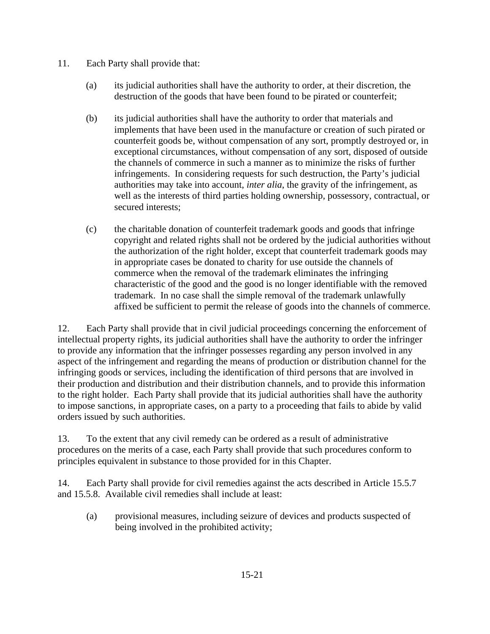- 11. Each Party shall provide that:
	- (a) its judicial authorities shall have the authority to order, at their discretion, the destruction of the goods that have been found to be pirated or counterfeit;
	- (b) its judicial authorities shall have the authority to order that materials and implements that have been used in the manufacture or creation of such pirated or counterfeit goods be, without compensation of any sort, promptly destroyed or, in exceptional circumstances, without compensation of any sort, disposed of outside the channels of commerce in such a manner as to minimize the risks of further infringements. In considering requests for such destruction, the Party's judicial authorities may take into account, *inter alia*, the gravity of the infringement, as well as the interests of third parties holding ownership, possessory, contractual, or secured interests;
	- (c) the charitable donation of counterfeit trademark goods and goods that infringe copyright and related rights shall not be ordered by the judicial authorities without the authorization of the right holder, except that counterfeit trademark goods may in appropriate cases be donated to charity for use outside the channels of commerce when the removal of the trademark eliminates the infringing characteristic of the good and the good is no longer identifiable with the removed trademark. In no case shall the simple removal of the trademark unlawfully affixed be sufficient to permit the release of goods into the channels of commerce.

12. Each Party shall provide that in civil judicial proceedings concerning the enforcement of intellectual property rights, its judicial authorities shall have the authority to order the infringer to provide any information that the infringer possesses regarding any person involved in any aspect of the infringement and regarding the means of production or distribution channel for the infringing goods or services, including the identification of third persons that are involved in their production and distribution and their distribution channels, and to provide this information to the right holder. Each Party shall provide that its judicial authorities shall have the authority to impose sanctions, in appropriate cases, on a party to a proceeding that fails to abide by valid orders issued by such authorities.

13. To the extent that any civil remedy can be ordered as a result of administrative procedures on the merits of a case, each Party shall provide that such procedures conform to principles equivalent in substance to those provided for in this Chapter.

14. Each Party shall provide for civil remedies against the acts described in Article 15.5.7 and 15.5.8. Available civil remedies shall include at least:

(a) provisional measures, including seizure of devices and products suspected of being involved in the prohibited activity;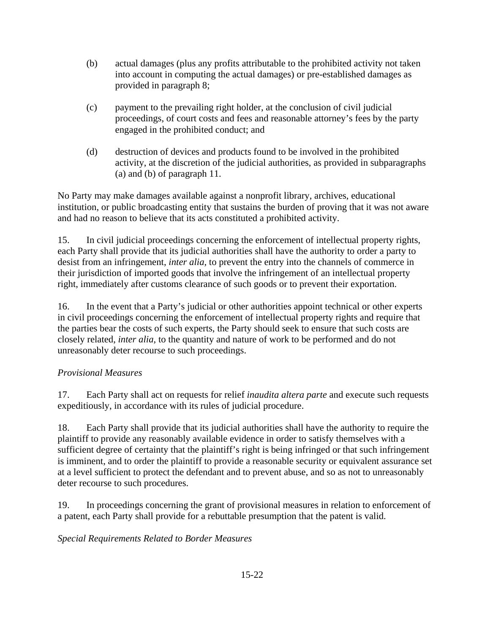- (b) actual damages (plus any profits attributable to the prohibited activity not taken into account in computing the actual damages) or pre-established damages as provided in paragraph 8;
- (c) payment to the prevailing right holder, at the conclusion of civil judicial proceedings, of court costs and fees and reasonable attorney's fees by the party engaged in the prohibited conduct; and
- (d) destruction of devices and products found to be involved in the prohibited activity, at the discretion of the judicial authorities, as provided in subparagraphs (a) and (b) of paragraph 11.

No Party may make damages available against a nonprofit library, archives, educational institution, or public broadcasting entity that sustains the burden of proving that it was not aware and had no reason to believe that its acts constituted a prohibited activity.

15. In civil judicial proceedings concerning the enforcement of intellectual property rights, each Party shall provide that its judicial authorities shall have the authority to order a party to desist from an infringement, *inter alia,* to prevent the entry into the channels of commerce in their jurisdiction of imported goods that involve the infringement of an intellectual property right, immediately after customs clearance of such goods or to prevent their exportation.

16. In the event that a Party's judicial or other authorities appoint technical or other experts in civil proceedings concerning the enforcement of intellectual property rights and require that the parties bear the costs of such experts, the Party should seek to ensure that such costs are closely related, *inter alia*, to the quantity and nature of work to be performed and do not unreasonably deter recourse to such proceedings.

# *Provisional Measures*

17. Each Party shall act on requests for relief *inaudita altera parte* and execute such requests expeditiously, in accordance with its rules of judicial procedure.

18. Each Party shall provide that its judicial authorities shall have the authority to require the plaintiff to provide any reasonably available evidence in order to satisfy themselves with a sufficient degree of certainty that the plaintiff's right is being infringed or that such infringement is imminent, and to order the plaintiff to provide a reasonable security or equivalent assurance set at a level sufficient to protect the defendant and to prevent abuse, and so as not to unreasonably deter recourse to such procedures.

19. In proceedings concerning the grant of provisional measures in relation to enforcement of a patent, each Party shall provide for a rebuttable presumption that the patent is valid.

# *Special Requirements Related to Border Measures*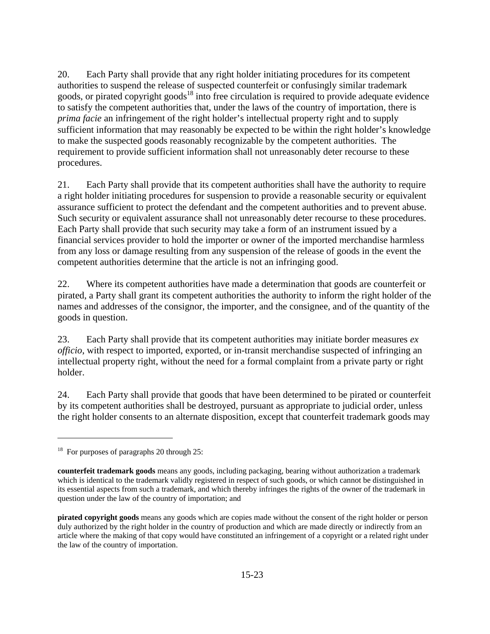20. Each Party shall provide that any right holder initiating procedures for its competent authorities to suspend the release of suspected counterfeit or confusingly similar trademark goods, or pirated copyright goods<sup>18</sup> into free circulation is required to provide adequate evidence to satisfy the competent authorities that, under the laws of the country of importation, there is *prima facie* an infringement of the right holder's intellectual property right and to supply sufficient information that may reasonably be expected to be within the right holder's knowledge to make the suspected goods reasonably recognizable by the competent authorities. The requirement to provide sufficient information shall not unreasonably deter recourse to these procedures.

21. Each Party shall provide that its competent authorities shall have the authority to require a right holder initiating procedures for suspension to provide a reasonable security or equivalent assurance sufficient to protect the defendant and the competent authorities and to prevent abuse. Such security or equivalent assurance shall not unreasonably deter recourse to these procedures. Each Party shall provide that such security may take a form of an instrument issued by a financial services provider to hold the importer or owner of the imported merchandise harmless from any loss or damage resulting from any suspension of the release of goods in the event the competent authorities determine that the article is not an infringing good.

22. Where its competent authorities have made a determination that goods are counterfeit or pirated, a Party shall grant its competent authorities the authority to inform the right holder of the names and addresses of the consignor, the importer, and the consignee, and of the quantity of the goods in question.

23. Each Party shall provide that its competent authorities may initiate border measures *ex officio*, with respect to imported, exported, or in-transit merchandise suspected of infringing an intellectual property right, without the need for a formal complaint from a private party or right holder.

24. Each Party shall provide that goods that have been determined to be pirated or counterfeit by its competent authorities shall be destroyed, pursuant as appropriate to judicial order, unless the right holder consents to an alternate disposition, except that counterfeit trademark goods may

<span id="page-22-0"></span><sup>&</sup>lt;sup>18</sup> For purposes of paragraphs 20 through  $25$ :

**counterfeit trademark goods** means any goods, including packaging, bearing without authorization a trademark which is identical to the trademark validly registered in respect of such goods, or which cannot be distinguished in its essential aspects from such a trademark, and which thereby infringes the rights of the owner of the trademark in question under the law of the country of importation; and

**pirated copyright goods** means any goods which are copies made without the consent of the right holder or person duly authorized by the right holder in the country of production and which are made directly or indirectly from an article where the making of that copy would have constituted an infringement of a copyright or a related right under the law of the country of importation.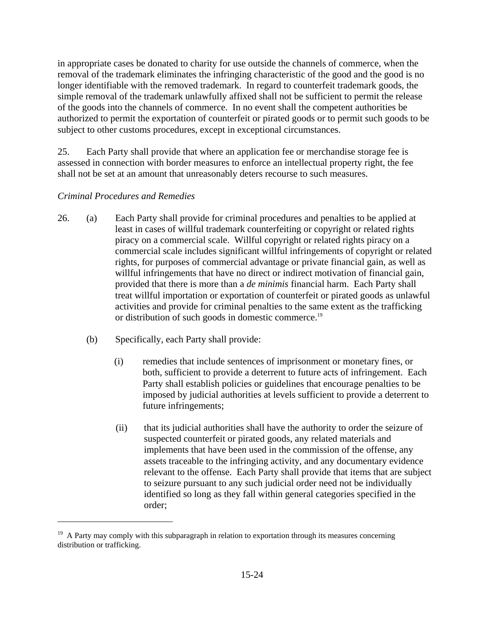in appropriate cases be donated to charity for use outside the channels of commerce, when the removal of the trademark eliminates the infringing characteristic of the good and the good is no longer identifiable with the removed trademark. In regard to counterfeit trademark goods, the simple removal of the trademark unlawfully affixed shall not be sufficient to permit the release of the goods into the channels of commerce. In no event shall the competent authorities be authorized to permit the exportation of counterfeit or pirated goods or to permit such goods to be subject to other customs procedures, except in exceptional circumstances.

25. Each Party shall provide that where an application fee or merchandise storage fee is assessed in connection with border measures to enforce an intellectual property right, the fee shall not be set at an amount that unreasonably deters recourse to such measures.

### *Criminal Procedures and Remedies*

- 26. (a) Each Party shall provide for criminal procedures and penalties to be applied at least in cases of willful trademark counterfeiting or copyright or related rights piracy on a commercial scale. Willful copyright or related rights piracy on a commercial scale includes significant willful infringements of copyright or related rights, for purposes of commercial advantage or private financial gain, as well as willful infringements that have no direct or indirect motivation of financial gain, provided that there is more than a *de minimis* financial harm. Each Party shall treat willful importation or exportation of counterfeit or pirated goods as unlawful activities and provide for criminal penalties to the same extent as the trafficking or distribution of such goods in domestic commerce.<sup>19</sup>
	- (b) Specifically, each Party shall provide:
		- (i) remedies that include sentences of imprisonment or monetary fines, or both, sufficient to provide a deterrent to future acts of infringement. Each Party shall establish policies or guidelines that encourage penalties to be imposed by judicial authorities at levels sufficient to provide a deterrent to future infringements;
		- (ii) that its judicial authorities shall have the authority to order the seizure of suspected counterfeit or pirated goods, any related materials and implements that have been used in the commission of the offense, any assets traceable to the infringing activity, and any documentary evidence relevant to the offense. Each Party shall provide that items that are subject to seizure pursuant to any such judicial order need not be individually identified so long as they fall within general categories specified in the order;

<span id="page-23-0"></span> $19$  A Party may comply with this subparagraph in relation to exportation through its measures concerning distribution or trafficking.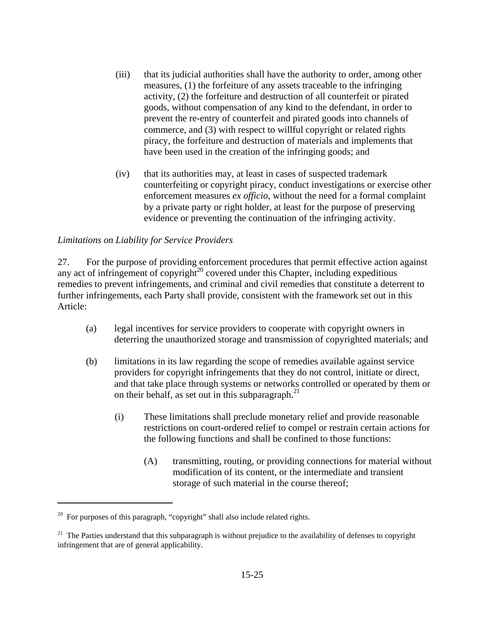- (iii) that its judicial authorities shall have the authority to order, among other measures, (1) the forfeiture of any assets traceable to the infringing activity, (2) the forfeiture and destruction of all counterfeit or pirated goods, without compensation of any kind to the defendant, in order to prevent the re-entry of counterfeit and pirated goods into channels of commerce, and (3) with respect to willful copyright or related rights piracy, the forfeiture and destruction of materials and implements that have been used in the creation of the infringing goods; and
- (iv) that its authorities may, at least in cases of suspected trademark counterfeiting or copyright piracy, conduct investigations or exercise other enforcement measures *ex officio*, without the need for a formal complaint by a private party or right holder, at least for the purpose of preserving evidence or preventing the continuation of the infringing activity.

### *Limitations on Liability for Service Providers*

27. For the purpose of providing enforcement procedures that permit effective action against any act of infringement of copyright<sup>20</sup> covered under this Chapter, including expeditious remedies to prevent infringements, and criminal and civil remedies that constitute a deterrent to further infringements, each Party shall provide, consistent with the framework set out in this Article:

- (a) legal incentives for service providers to cooperate with copyright owners in deterring the unauthorized storage and transmission of copyrighted materials; and
- (b) limitations in its law regarding the scope of remedies available against service providers for copyright infringements that they do not control, initiate or direct, and that take place through systems or networks controlled or operated by them or on their behalf, as set out in this subparagraph. $^{21}$  $^{21}$  $^{21}$ 
	- (i) These limitations shall preclude monetary relief and provide reasonable restrictions on court-ordered relief to compel or restrain certain actions for the following functions and shall be confined to those functions:
		- (A) transmitting, routing, or providing connections for material without modification of its content, or the intermediate and transient storage of such material in the course thereof;

<span id="page-24-0"></span><sup>20</sup> For purposes of this paragraph, "copyright" shall also include related rights.

<span id="page-24-1"></span><sup>&</sup>lt;sup>21</sup> The Parties understand that this subparagraph is without prejudice to the availability of defenses to copyright infringement that are of general applicability.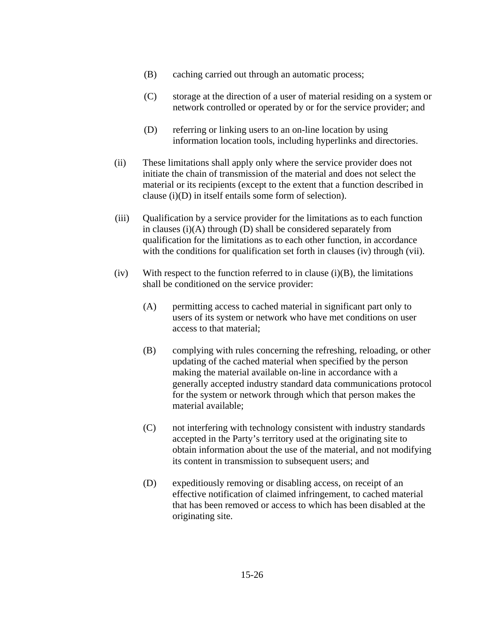- (B) caching carried out through an automatic process;
- (C) storage at the direction of a user of material residing on a system or network controlled or operated by or for the service provider; and
- (D) referring or linking users to an on-line location by using information location tools, including hyperlinks and directories.
- (ii) These limitations shall apply only where the service provider does not initiate the chain of transmission of the material and does not select the material or its recipients (except to the extent that a function described in clause (i)(D) in itself entails some form of selection).
- (iii) Qualification by a service provider for the limitations as to each function in clauses (i)(A) through (D) shall be considered separately from qualification for the limitations as to each other function, in accordance with the conditions for qualification set forth in clauses (iv) through (vii).
- $(iv)$  With respect to the function referred to in clause  $(i)(B)$ , the limitations shall be conditioned on the service provider:
	- (A) permitting access to cached material in significant part only to users of its system or network who have met conditions on user access to that material;
	- (B) complying with rules concerning the refreshing, reloading, or other updating of the cached material when specified by the person making the material available on-line in accordance with a generally accepted industry standard data communications protocol for the system or network through which that person makes the material available;
	- (C) not interfering with technology consistent with industry standards accepted in the Party's territory used at the originating site to obtain information about the use of the material, and not modifying its content in transmission to subsequent users; and
	- (D) expeditiously removing or disabling access, on receipt of an effective notification of claimed infringement, to cached material that has been removed or access to which has been disabled at the originating site.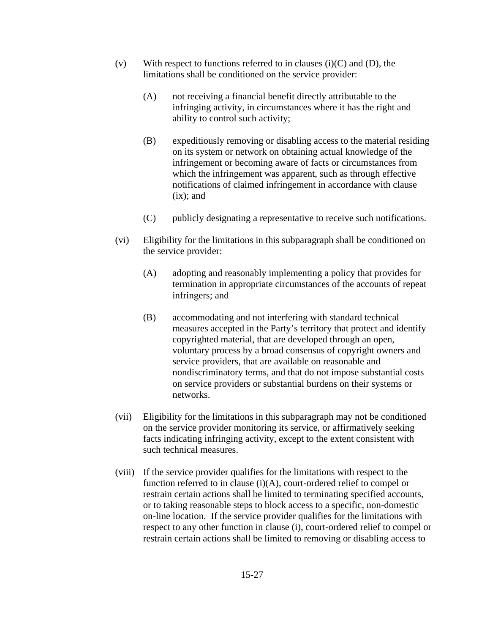- (v) With respect to functions referred to in clauses  $(i)(C)$  and  $(D)$ , the limitations shall be conditioned on the service provider:
	- (A) not receiving a financial benefit directly attributable to the infringing activity, in circumstances where it has the right and ability to control such activity;
	- (B) expeditiously removing or disabling access to the material residing on its system or network on obtaining actual knowledge of the infringement or becoming aware of facts or circumstances from which the infringement was apparent, such as through effective notifications of claimed infringement in accordance with clause  $(ix)$ ; and
	- (C) publicly designating a representative to receive such notifications.
- (vi) Eligibility for the limitations in this subparagraph shall be conditioned on the service provider:
	- (A) adopting and reasonably implementing a policy that provides for termination in appropriate circumstances of the accounts of repeat infringers; and
	- (B) accommodating and not interfering with standard technical measures accepted in the Party's territory that protect and identify copyrighted material, that are developed through an open, voluntary process by a broad consensus of copyright owners and service providers, that are available on reasonable and nondiscriminatory terms, and that do not impose substantial costs on service providers or substantial burdens on their systems or networks.
- (vii) Eligibility for the limitations in this subparagraph may not be conditioned on the service provider monitoring its service, or affirmatively seeking facts indicating infringing activity, except to the extent consistent with such technical measures.
- (viii) If the service provider qualifies for the limitations with respect to the function referred to in clause (i)(A), court-ordered relief to compel or restrain certain actions shall be limited to terminating specified accounts, or to taking reasonable steps to block access to a specific, non-domestic on-line location. If the service provider qualifies for the limitations with respect to any other function in clause (i), court-ordered relief to compel or restrain certain actions shall be limited to removing or disabling access to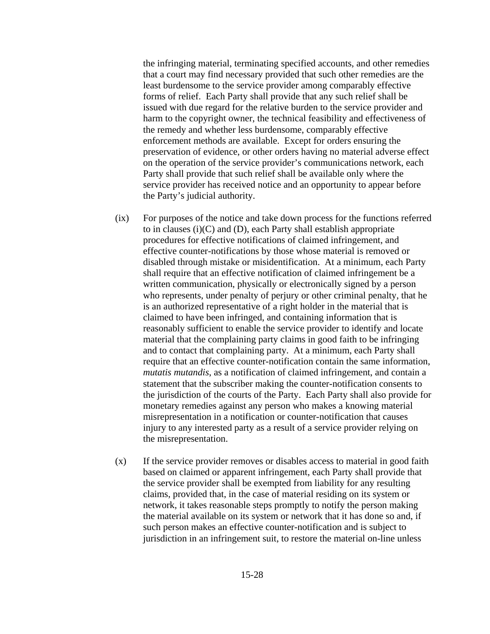the infringing material, terminating specified accounts, and other remedies that a court may find necessary provided that such other remedies are the least burdensome to the service provider among comparably effective forms of relief. Each Party shall provide that any such relief shall be issued with due regard for the relative burden to the service provider and harm to the copyright owner, the technical feasibility and effectiveness of the remedy and whether less burdensome, comparably effective enforcement methods are available. Except for orders ensuring the preservation of evidence, or other orders having no material adverse effect on the operation of the service provider's communications network, each Party shall provide that such relief shall be available only where the service provider has received notice and an opportunity to appear before the Party's judicial authority.

- (ix) For purposes of the notice and take down process for the functions referred to in clauses  $(i)(C)$  and  $(D)$ , each Party shall establish appropriate procedures for effective notifications of claimed infringement, and effective counter-notifications by those whose material is removed or disabled through mistake or misidentification. At a minimum, each Party shall require that an effective notification of claimed infringement be a written communication, physically or electronically signed by a person who represents, under penalty of perjury or other criminal penalty, that he is an authorized representative of a right holder in the material that is claimed to have been infringed, and containing information that is reasonably sufficient to enable the service provider to identify and locate material that the complaining party claims in good faith to be infringing and to contact that complaining party. At a minimum, each Party shall require that an effective counter-notification contain the same information, *mutatis mutandis*, as a notification of claimed infringement, and contain a statement that the subscriber making the counter-notification consents to the jurisdiction of the courts of the Party. Each Party shall also provide for monetary remedies against any person who makes a knowing material misrepresentation in a notification or counter-notification that causes injury to any interested party as a result of a service provider relying on the misrepresentation.
- (x) If the service provider removes or disables access to material in good faith based on claimed or apparent infringement, each Party shall provide that the service provider shall be exempted from liability for any resulting claims, provided that, in the case of material residing on its system or network, it takes reasonable steps promptly to notify the person making the material available on its system or network that it has done so and, if such person makes an effective counter-notification and is subject to jurisdiction in an infringement suit, to restore the material on-line unless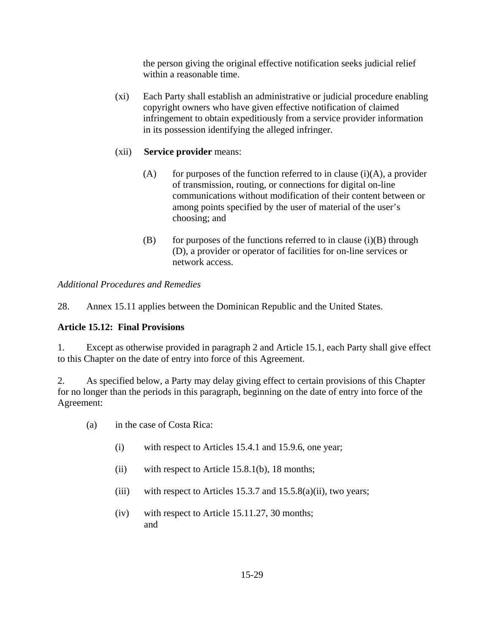the person giving the original effective notification seeks judicial relief within a reasonable time.

(xi) Each Party shall establish an administrative or judicial procedure enabling copyright owners who have given effective notification of claimed infringement to obtain expeditiously from a service provider information in its possession identifying the alleged infringer.

## (xii) **Service provider** means:

- (A) for purposes of the function referred to in clause (i)(A), a provider of transmission, routing, or connections for digital on-line communications without modification of their content between or among points specified by the user of material of the user's choosing; and
- $(B)$  for purposes of the functions referred to in clause (i)(B) through (D), a provider or operator of facilities for on-line services or network access.

## *Additional Procedures and Remedies*

28. Annex 15.11 applies between the Dominican Republic and the United States.

### **Article 15.12: Final Provisions**

1. Except as otherwise provided in paragraph 2 and Article 15.1, each Party shall give effect to this Chapter on the date of entry into force of this Agreement.

2. As specified below, a Party may delay giving effect to certain provisions of this Chapter for no longer than the periods in this paragraph, beginning on the date of entry into force of the Agreement:

- (a) in the case of Costa Rica:
	- (i) with respect to Articles 15.4.1 and 15.9.6, one year;
	- (ii) with respect to Article  $15.8.1(b)$ , 18 months;
	- (iii) with respect to Articles 15.3.7 and 15.5.8(a)(ii), two years;
	- (iv) with respect to Article 15.11.27, 30 months; and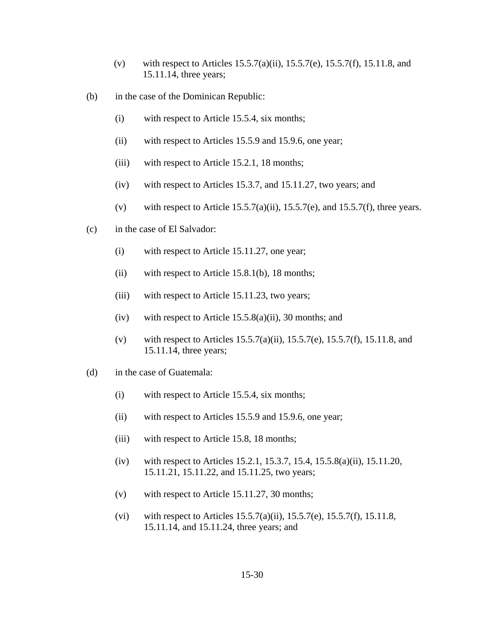- (v) with respect to Articles  $15.5.7(a)(ii)$ ,  $15.5.7(e)$ ,  $15.5.7(f)$ ,  $15.11.8$ , and 15.11.14, three years;
- (b) in the case of the Dominican Republic:
	- (i) with respect to Article 15.5.4, six months;
	- (ii) with respect to Articles 15.5.9 and 15.9.6, one year;
	- (iii) with respect to Article 15.2.1, 18 months;
	- (iv) with respect to Articles 15.3.7, and 15.11.27, two years; and
	- (v) with respect to Article 15.5.7(a)(ii), 15.5.7(e), and 15.5.7(f), three years.
- (c) in the case of El Salvador:
	- (i) with respect to Article 15.11.27, one year;
	- (ii) with respect to Article 15.8.1(b), 18 months;
	- (iii) with respect to Article 15.11.23, two years;
	- (iv) with respect to Article  $15.5.8(a)(ii)$ , 30 months; and
	- (v) with respect to Articles  $15.5.7(a)(ii)$ ,  $15.5.7(e)$ ,  $15.5.7(f)$ ,  $15.11.8$ , and 15.11.14, three years;
- (d) in the case of Guatemala:
	- (i) with respect to Article 15.5.4, six months;
	- (ii) with respect to Articles 15.5.9 and 15.9.6, one year;
	- (iii) with respect to Article 15.8, 18 months;
	- (iv) with respect to Articles 15.2.1, 15.3.7, 15.4, 15.5.8(a)(ii), 15.11.20, 15.11.21, 15.11.22, and 15.11.25, two years;
	- (v) with respect to Article 15.11.27, 30 months;
	- (vi) with respect to Articles  $15.5.7(a)(ii)$ ,  $15.5.7(e)$ ,  $15.5.7(f)$ ,  $15.11.8$ , 15.11.14, and 15.11.24, three years; and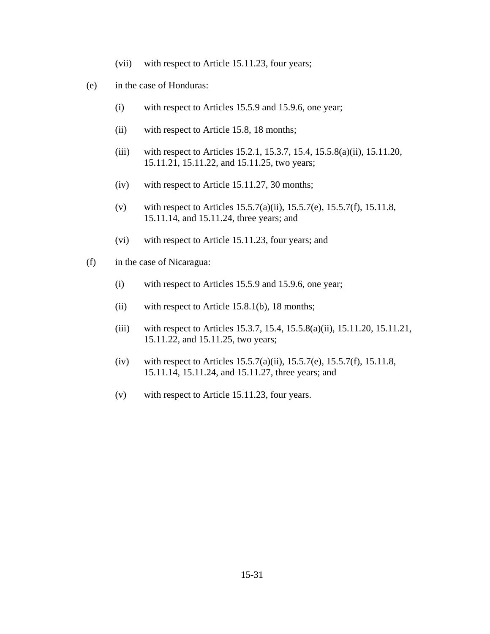- (vii) with respect to Article 15.11.23, four years;
- (e) in the case of Honduras:
	- (i) with respect to Articles 15.5.9 and 15.9.6, one year;
	- (ii) with respect to Article 15.8, 18 months;
	- (iii) with respect to Articles 15.2.1, 15.3.7, 15.4, 15.5.8(a)(ii), 15.11.20, 15.11.21, 15.11.22, and 15.11.25, two years;
	- (iv) with respect to Article 15.11.27, 30 months;
	- (v) with respect to Articles  $15.5.7(a)(ii)$ ,  $15.5.7(e)$ ,  $15.5.7(f)$ ,  $15.11.8$ , 15.11.14, and 15.11.24, three years; and
	- (vi) with respect to Article 15.11.23, four years; and
- (f) in the case of Nicaragua:
	- (i) with respect to Articles 15.5.9 and 15.9.6, one year;
	- (ii) with respect to Article 15.8.1(b), 18 months;
	- (iii) with respect to Articles 15.3.7, 15.4, 15.5.8(a)(ii), 15.11.20, 15.11.21, 15.11.22, and 15.11.25, two years;
	- (iv) with respect to Articles  $15.5.7(a)(ii)$ ,  $15.5.7(e)$ ,  $15.5.7(f)$ ,  $15.11.8$ , 15.11.14, 15.11.24, and 15.11.27, three years; and
	- (v) with respect to Article 15.11.23, four years.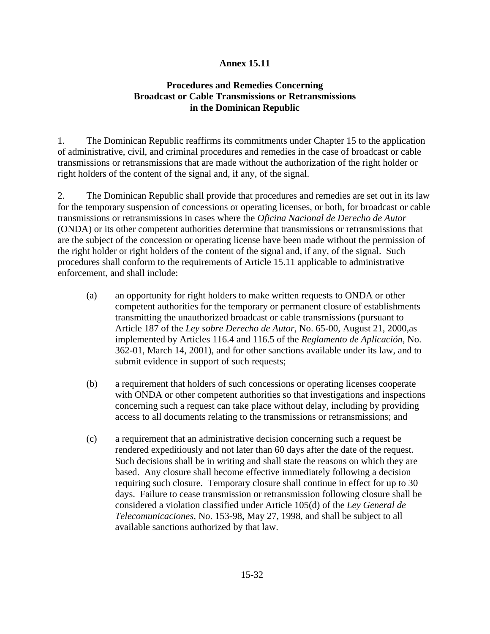#### **Annex 15.11**

#### **Procedures and Remedies Concerning Broadcast or Cable Transmissions or Retransmissions in the Dominican Republic**

1. The Dominican Republic reaffirms its commitments under Chapter 15 to the application of administrative, civil, and criminal procedures and remedies in the case of broadcast or cable transmissions or retransmissions that are made without the authorization of the right holder or right holders of the content of the signal and, if any, of the signal.

2. The Dominican Republic shall provide that procedures and remedies are set out in its law for the temporary suspension of concessions or operating licenses, or both, for broadcast or cable transmissions or retransmissions in cases where the *Oficina Nacional de Derecho de Autor* (ONDA) or its other competent authorities determine that transmissions or retransmissions that are the subject of the concession or operating license have been made without the permission of the right holder or right holders of the content of the signal and, if any, of the signal. Such procedures shall conform to the requirements of Article 15.11 applicable to administrative enforcement, and shall include:

- (a) an opportunity for right holders to make written requests to ONDA or other competent authorities for the temporary or permanent closure of establishments transmitting the unauthorized broadcast or cable transmissions (pursuant to Article 187 of the *Ley sobre Derecho de Autor*, No. 65-00, August 21, 2000,as implemented by Articles 116.4 and 116.5 of the *Reglamento de Aplicación*, No. 362-01, March 14, 2001), and for other sanctions available under its law, and to submit evidence in support of such requests;
- (b) a requirement that holders of such concessions or operating licenses cooperate with ONDA or other competent authorities so that investigations and inspections concerning such a request can take place without delay, including by providing access to all documents relating to the transmissions or retransmissions; and
- (c) a requirement that an administrative decision concerning such a request be rendered expeditiously and not later than 60 days after the date of the request. Such decisions shall be in writing and shall state the reasons on which they are based. Any closure shall become effective immediately following a decision requiring such closure. Temporary closure shall continue in effect for up to 30 days. Failure to cease transmission or retransmission following closure shall be considered a violation classified under Article 105(d) of the *Ley General de Telecomunicaciones*, No. 153-98, May 27, 1998, and shall be subject to all available sanctions authorized by that law.